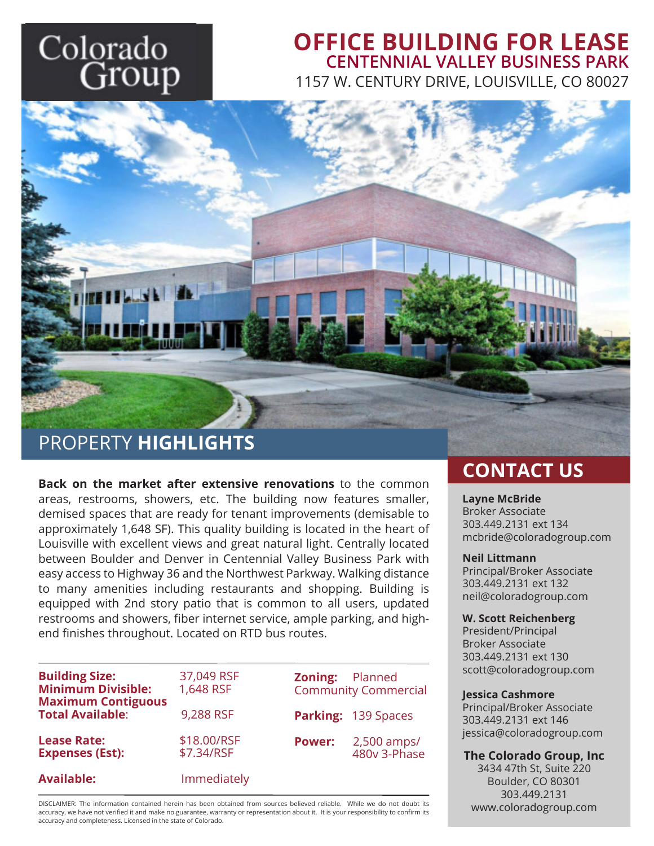# Colorado Group

## **OFFICE BUILDING FOR LEASE** 1157 W. CENTURY DRIVE, LOUISVILLE, CO 80027 **CENTENNIAL VALLEY BUSINESS PARK**



PROPERTY **HIGHLIGHTS**

**Back on the market after extensive renovations** to the common areas, restrooms, showers, etc. The building now features smaller, demised spaces that are ready for tenant improvements (demisable to approximately 1,648 SF). This quality building is located in the heart of Louisville with excellent views and great natural light. Centrally located between Boulder and Denver in Centennial Valley Business Park with easy access to Highway 36 and the Northwest Parkway. Walking distance to many amenities including restaurants and shopping. Building is equipped with 2nd story patio that is common to all users, updated restrooms and showers, fiber internet service, ample parking, and highend finishes throughout. Located on RTD bus routes.

| <b>Building Size:</b><br><b>Minimum Divisible:</b>   | 37,049 RSF<br>1,648 RSF   | <b>Zoning:</b> Planned | <b>Community Commercial</b> |
|------------------------------------------------------|---------------------------|------------------------|-----------------------------|
| <b>Maximum Contiguous</b><br><b>Total Available:</b> | 9,288 RSF                 |                        | Parking: 139 Spaces         |
| <b>Lease Rate:</b><br><b>Expenses (Est):</b>         | \$18,00/RSF<br>\$7.34/RSF | <b>Power:</b>          | 2,500 amps/<br>480v 3-Phase |
| <b>Available:</b>                                    | Immediately               |                        |                             |

DISCLAIMER: The information contained herein has been obtained from sources believed reliable. While we do not doubt its accuracy, we have not verified it and make no guarantee, warranty or representation about it. It is your responsibility to confirm its accuracy and completeness. Licensed in the state of Colorado.

## **CONTACT US**

#### **Layne McBride**

Broker Associate 303.449.2131 ext 134 mcbride@coloradogroup.com

#### **Neil Littmann**

Principal/Broker Associate 303.449.2131 ext 132 neil@coloradogroup.com

#### **W. Scott Reichenberg**

President/Principal Broker Associate 303.449.2131 ext 130 scott@coloradogroup.com **Zoning:** Planned

#### **Jessica Cashmore**

Principal/Broker Associate 303.449.2131 ext 146 jessica@coloradogroup.com

#### **The Colorado Group, Inc**

3434 47th St, Suite 220 Boulder, CO 80301 303.449.2131 www.coloradogroup.com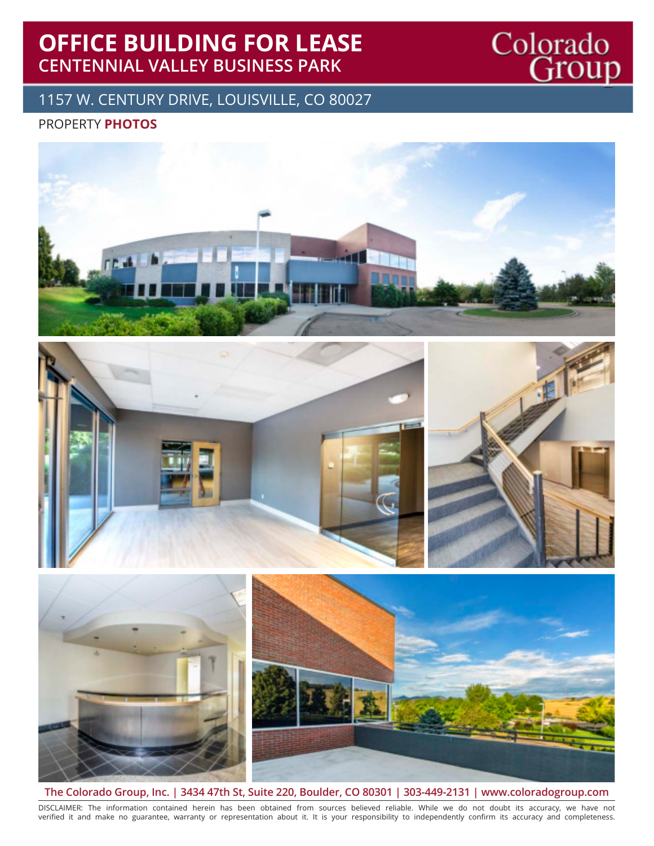## **OFFICE BUILDING FOR LEASE CENTENNIAL VALLEY BUSINESS PARK**

## 1157 W. CENTURY DRIVE, LOUISVILLE, CO 80027

### PROPERTY **PHOTOS**



Colorado<br>Group





**The Colorado Group, Inc. | 3434 47th St, Suite 220, Boulder, CO 80301 | 303-449-2131 | www.coloradogroup.com**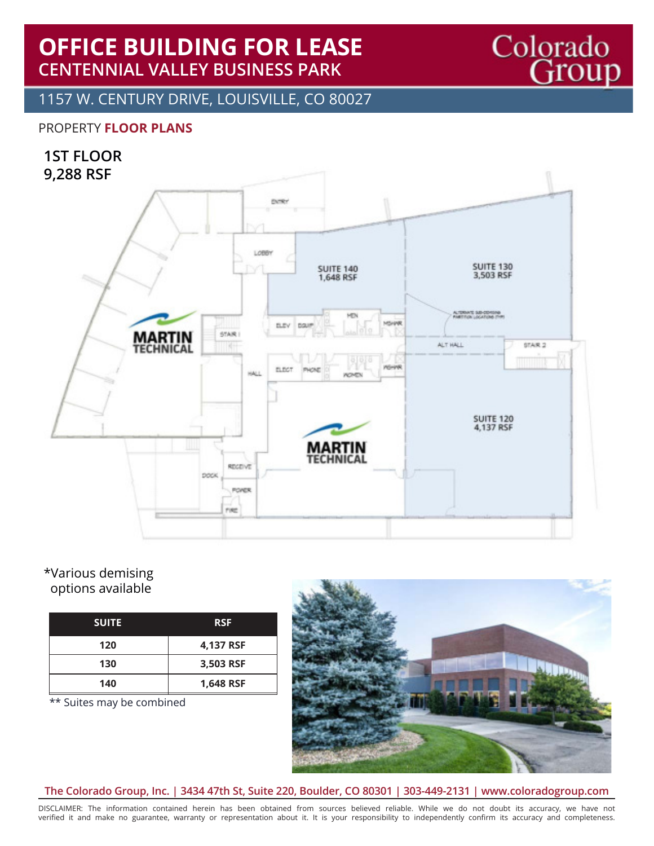## **OFFICE BUILDING FOR LEASE CENTENNIAL VALLEY BUSINESS PARK**

1157 W. CENTURY DRIVE, LOUISVILLE, CO 80027

### PROPERTY **FLOOR PLANS**

### **1ST FLOOR 9,288 RSF**



#### \*Various demising options available

| <b>SUITE</b> | <b>RSF</b> |
|--------------|------------|
| 120          | 4,137 RSF  |
| 130          | 3,503 RSF  |
| 140          | 1,648 RSF  |

\*\* Suites may be combined



Colorado<br>Group

#### **The Colorado Group, Inc. | 3434 47th St, Suite 220, Boulder, CO 80301 | 303-449-2131 | www.coloradogroup.com**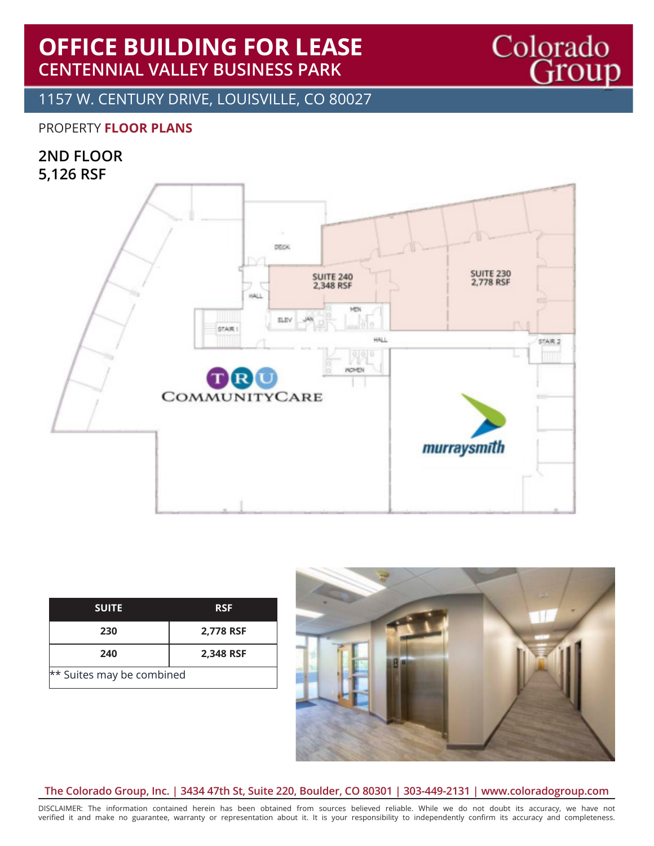## **OFFICE BUILDING FOR LEASE CENTENNIAL VALLEY BUSINESS PARK**

1157 W. CENTURY DRIVE, LOUISVILLE, CO 80027

#### PROPERTY **FLOOR PLANS**

### **2ND FLOOR 5,126 RSF**



| <b>SUITE</b>              | <b>RSF</b> |  |
|---------------------------|------------|--|
| 230                       | 2,778 RSF  |  |
| 240                       | 2,348 RSF  |  |
| ** Suites may be combined |            |  |



Colorado<br>Group

#### **The Colorado Group, Inc. | 3434 47th St, Suite 220, Boulder, CO 80301 | 303-449-2131 | www.coloradogroup.com**